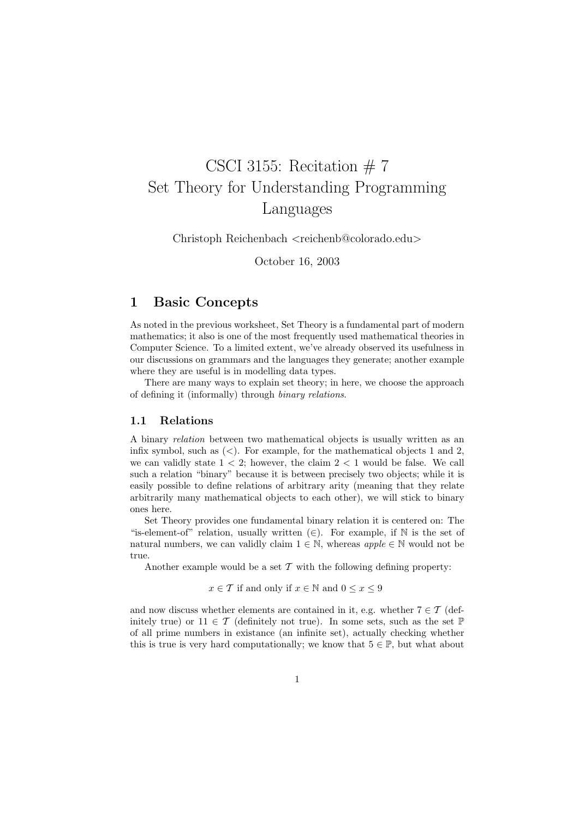# CSCI 3155: Recitation  $# 7$ Set Theory for Understanding Programming Languages

Christoph Reichenbach <reichenb@colorado.edu>

October 16, 2003

# 1 Basic Concepts

As noted in the previous worksheet, Set Theory is a fundamental part of modern mathematics; it also is one of the most frequently used mathematical theories in Computer Science. To a limited extent, we've already observed its usefulness in our discussions on grammars and the languages they generate; another example where they are useful is in modelling data types.

There are many ways to explain set theory; in here, we choose the approach of defining it (informally) through binary relations.

# 1.1 Relations

A binary relation between two mathematical objects is usually written as an infix symbol, such as  $\langle \langle \rangle$ . For example, for the mathematical objects 1 and 2, we can validly state  $1 < 2$ ; however, the claim  $2 < 1$  would be false. We call such a relation "binary" because it is between precisely two objects; while it is easily possible to define relations of arbitrary arity (meaning that they relate arbitrarily many mathematical objects to each other), we will stick to binary ones here.

Set Theory provides one fundamental binary relation it is centered on: The "is-element-of" relation, usually written  $(\in)$ . For example, if N is the set of natural numbers, we can validly claim  $1 \in \mathbb{N}$ , whereas  $apple \in \mathbb{N}$  would not be true.

Another example would be a set  $\mathcal T$  with the following defining property:

### $x \in \mathcal{T}$  if and only if  $x \in \mathbb{N}$  and  $0 \leq x \leq 9$

and now discuss whether elements are contained in it, e.g. whether  $7 \in \mathcal{T}$  (definitely true) or  $11 \in \mathcal{T}$  (definitely not true). In some sets, such as the set  $\mathbb{P}$ of all prime numbers in existance (an infinite set), actually checking whether this is true is very hard computationally; we know that  $5 \in \mathbb{P}$ , but what about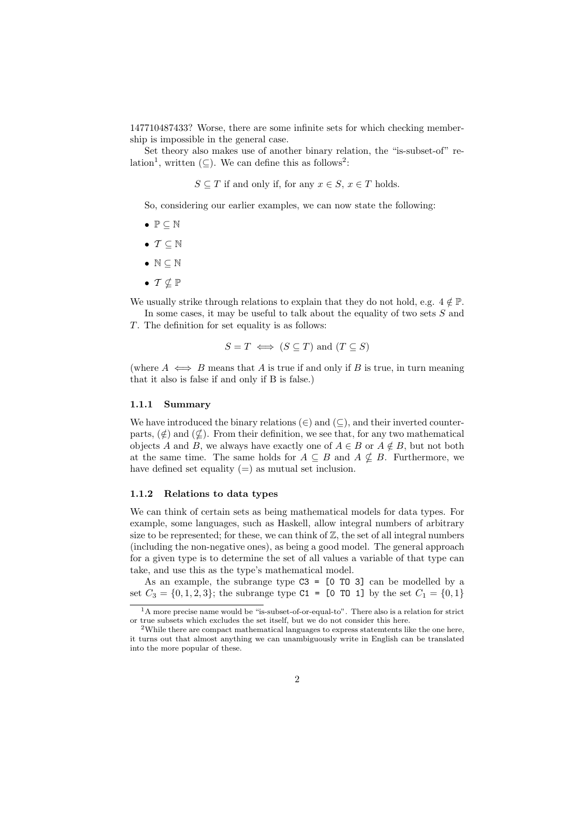147710487433? Worse, there are some infinite sets for which checking membership is impossible in the general case.

Set theory also makes use of another binary relation, the "is-subset-of" relation<sup>1</sup>, written  $(\subseteq)$ . We can define this as follows<sup>2</sup>:

 $S \subseteq T$  if and only if, for any  $x \in S$ ,  $x \in T$  holds.

So, considering our earlier examples, we can now state the following:

- $\bullet \ \mathbb{P} \subseteq \mathbb{N}$
- $T \subseteq \mathbb{N}$
- $\bullet \mathbb{N} \subseteq \mathbb{N}$
- $\bullet$   $\mathcal{T} \not\subset \mathbb{P}$

We usually strike through relations to explain that they do not hold, e.g.  $4 \notin \mathbb{P}$ .

In some cases, it may be useful to talk about the equality of two sets  $S$  and T. The definition for set equality is as follows:

$$
S = T \iff (S \subseteq T)
$$
 and  $(T \subseteq S)$ 

(where  $A \iff B$  means that A is true if and only if B is true, in turn meaning that it also is false if and only if B is false.)

#### 1.1.1 Summary

We have introduced the binary relations  $(\in)$  and  $(\subseteq)$ , and their inverted counterparts,  $(\notin)$  and  $(\notin)$ . From their definition, we see that, for any two mathematical objects A and B, we always have exactly one of  $A \in B$  or  $A \notin B$ , but not both at the same time. The same holds for  $A \subseteq B$  and  $A \nsubseteq B$ . Furthermore, we have defined set equality  $(=)$  as mutual set inclusion.

#### 1.1.2 Relations to data types

We can think of certain sets as being mathematical models for data types. For example, some languages, such as Haskell, allow integral numbers of arbitrary size to be represented; for these, we can think of  $\mathbb{Z}$ , the set of all integral numbers (including the non-negative ones), as being a good model. The general approach for a given type is to determine the set of all values a variable of that type can take, and use this as the type's mathematical model.

As an example, the subrange type  $C3 = [0 T0 3]$  can be modelled by a set  $C_3 = \{0, 1, 2, 3\}$ ; the subrange type C1 = [0 TO 1] by the set  $C_1 = \{0, 1\}$ 

<sup>&</sup>lt;sup>1</sup>A more precise name would be "is-subset-of-or-equal-to". There also is a relation for strict or true subsets which excludes the set itself, but we do not consider this here.

<sup>2</sup>While there are compact mathematical languages to express statemtents like the one here, it turns out that almost anything we can unambiguously write in English can be translated into the more popular of these.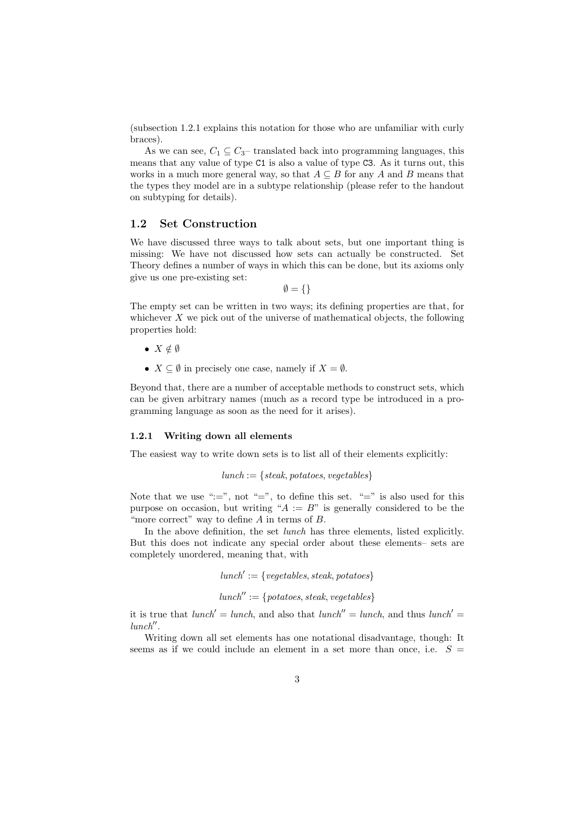(subsection 1.2.1 explains this notation for those who are unfamiliar with curly braces).

As we can see,  $C_1 \subseteq C_3$  translated back into programming languages, this means that any value of type C1 is also a value of type C3. As it turns out, this works in a much more general way, so that  $A \subseteq B$  for any A and B means that the types they model are in a subtype relationship (please refer to the handout on subtyping for details).

#### 1.2 Set Construction

We have discussed three ways to talk about sets, but one important thing is missing: We have not discussed how sets can actually be constructed. Set Theory defines a number of ways in which this can be done, but its axioms only give us one pre-existing set:

 $\emptyset = \{\}$ 

The empty set can be written in two ways; its defining properties are that, for whichever  $X$  we pick out of the universe of mathematical objects, the following properties hold:

- $X \notin \emptyset$
- $X \subseteq \emptyset$  in precisely one case, namely if  $X = \emptyset$ .

Beyond that, there are a number of acceptable methods to construct sets, which can be given arbitrary names (much as a record type be introduced in a programming language as soon as the need for it arises).

#### 1.2.1 Writing down all elements

The easiest way to write down sets is to list all of their elements explicitly:

```
lunch := \{stack, potatoes, vegetables\}
```
Note that we use " $:=$ ", not "=", to define this set. "=" is also used for this purpose on occasion, but writing " $A := B$ " is generally considered to be the "more correct" way to define  $A$  in terms of  $B$ .

In the above definition, the set *lunch* has three elements, listed explicitly. But this does not indicate any special order about these elements– sets are completely unordered, meaning that, with

```
lunch' := \{vegetables, steak, potatoes\}
```
 $lunch'':=\{potatoes, steak, vegetables\}$ 

it is true that  $lunch' = lunch$ , and also that  $lunch'' = lunch$ , and thus  $lunch' =$  $lunch''$ .

Writing down all set elements has one notational disadvantage, though: It seems as if we could include an element in a set more than once, i.e.  $S =$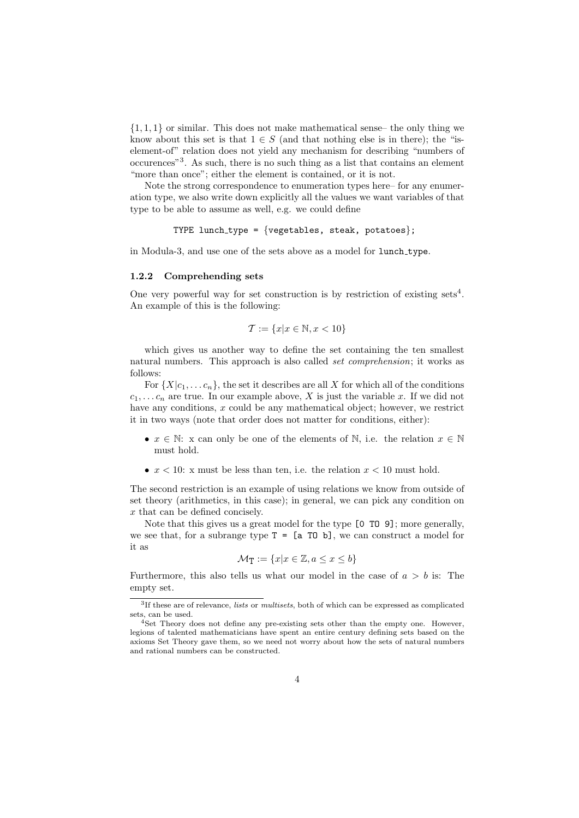$\{1, 1, 1\}$  or similar. This does not make mathematical sense– the only thing we know about this set is that  $1 \in S$  (and that nothing else is in there); the "iselement-of" relation does not yield any mechanism for describing "numbers of occurences"<sup>3</sup> . As such, there is no such thing as a list that contains an element "more than once"; either the element is contained, or it is not.

Note the strong correspondence to enumeration types here– for any enumeration type, we also write down explicitly all the values we want variables of that type to be able to assume as well, e.g. we could define

```
TYPE lunch_type = \{v \in \mathcal{E} \}, steak, potatoes};
```
in Modula-3, and use one of the sets above as a model for lunch type.

#### 1.2.2 Comprehending sets

One very powerful way for set construction is by restriction of existing sets<sup>4</sup>. An example of this is the following:

$$
\mathcal{T} := \{x | x \in \mathbb{N}, x < 10\}
$$

which gives us another way to define the set containing the ten smallest natural numbers. This approach is also called set comprehension; it works as follows:

For  $\{X|c_1, \ldots c_n\}$ , the set it describes are all X for which all of the conditions  $c_1, \ldots c_n$  are true. In our example above, X is just the variable x. If we did not have any conditions, x could be any mathematical object; however, we restrict it in two ways (note that order does not matter for conditions, either):

- $x \in \mathbb{N}$ : x can only be one of the elements of  $\mathbb{N}$ , i.e. the relation  $x \in \mathbb{N}$ must hold.
- $x < 10$ : x must be less than ten, i.e. the relation  $x < 10$  must hold.

The second restriction is an example of using relations we know from outside of set theory (arithmetics, in this case); in general, we can pick any condition on x that can be defined concisely.

Note that this gives us a great model for the type [0 TO 9]; more generally, we see that, for a subrange type  $T = [a T0 b]$ , we can construct a model for it as

$$
\mathcal{M}_\mathbf{T} := \{x | x \in \mathbb{Z}, a \leq x \leq b\}
$$

Furthermore, this also tells us what our model in the case of  $a > b$  is: The empty set.

<sup>&</sup>lt;sup>3</sup>If these are of relevance, lists or multisets, both of which can be expressed as complicated sets, can be used.

<sup>4</sup>Set Theory does not define any pre-existing sets other than the empty one. However, legions of talented mathematicians have spent an entire century defining sets based on the axioms Set Theory gave them, so we need not worry about how the sets of natural numbers and rational numbers can be constructed.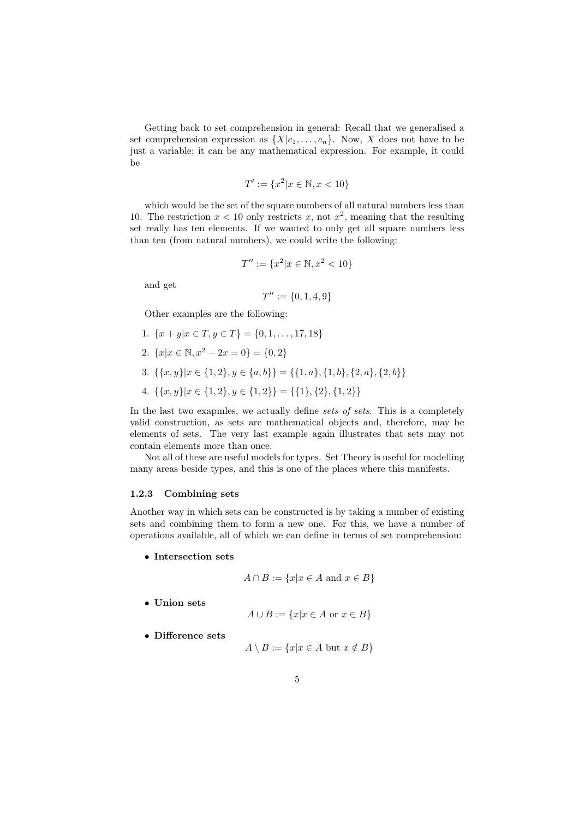Getting back to set comprehension in general: Recall that we generalised a set comprehension expression as  $\{X|c_1,\ldots,c_n\}$ . Now, X does not have to be just a variable; it can be any mathematical expression. For example, it could be

$$
T' := \{x^2 | x \in \mathbb{N}, x < 10\}
$$

which would be the set of the square numbers of all natural numbers less than 10. The restriction  $x < 10$  only restricts x, not  $x^2$ , meaning that the resulting set really has ten elements. If we wanted to only get all square numbers less than ten (from natural numbers), we could write the following:

$$
T'' := \{x^2 | x \in \mathbb{N}, x^2 < 10\}
$$

and get

$$
T'' := \{0, 1, 4, 9\}
$$

Other examples are the following:

- 1.  $\{x+y|x \in T, y \in T\} = \{0,1,\ldots,17,18\}$
- 2.  $\{x|x \in \mathbb{N}, x^2 2x = 0\} = \{0, 2\}$
- 3.  $\{\{x, y\}|x \in \{1, 2\}, y \in \{a, b\}\} = \{\{1, a\}, \{1, b\}, \{2, a\}, \{2, b\}\}\$
- 4.  $\{\{x, y\}|x \in \{1, 2\}, y \in \{1, 2\}\} = \{\{1\}, \{2\}, \{1, 2\}\}\$

In the last two exapmles, we actually define *sets of sets*. This is a completely valid construction, as sets are mathematical objects and, therefore, may be elements of sets. The very last example again illustrates that sets may not contain elements more than once.

Not all of these are useful models for types. Set Theory is useful for modelling many areas beside types, and this is one of the places where this manifests.

#### 1.2.3 Combining sets

Another way in which sets can be constructed is by taking a number of existing sets and combining them to form a new one. For this, we have a number of operations available, all of which we can define in terms of set comprehension:

• Intersection sets

 $A \cap B := \{x | x \in A \text{ and } x \in B\}$ 

• Union sets

$$
A \cup B := \{x | x \in A \text{ or } x \in B\}
$$

• Difference sets

$$
A \setminus B := \{x | x \in A \text{ but } x \notin B\}
$$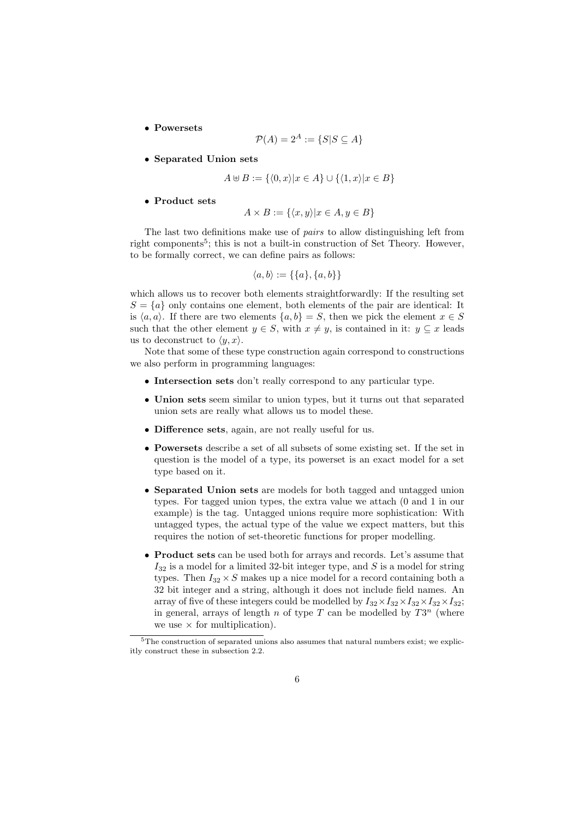• Powersets

$$
\mathcal{P}(A) = 2^A := \{ S | S \subseteq A \}
$$

• Separated Union sets

$$
A \uplus B := \{ \langle 0, x \rangle | x \in A \} \cup \{ \langle 1, x \rangle | x \in B \}
$$

• Product sets

$$
A \times B := \{ \langle x, y \rangle | x \in A, y \in B \}
$$

The last two definitions make use of pairs to allow distinguishing left from right components<sup>5</sup>; this is not a built-in construction of Set Theory. However, to be formally correct, we can define pairs as follows:

$$
\langle a, b \rangle := \{\{a\}, \{a, b\}\}\
$$

which allows us to recover both elements straightforwardly: If the resulting set  $S = \{a\}$  only contains one element, both elements of the pair are identical: It is  $\langle a, a \rangle$ . If there are two elements  $\{a, b\} = S$ , then we pick the element  $x \in S$ such that the other element  $y \in S$ , with  $x \neq y$ , is contained in it:  $y \subseteq x$  leads us to deconstruct to  $\langle y, x \rangle$ .

Note that some of these type construction again correspond to constructions we also perform in programming languages:

- Intersection sets don't really correspond to any particular type.
- Union sets seem similar to union types, but it turns out that separated union sets are really what allows us to model these.
- Difference sets, again, are not really useful for us.
- Powersets describe a set of all subsets of some existing set. If the set in question is the model of a type, its powerset is an exact model for a set type based on it.
- Separated Union sets are models for both tagged and untagged union types. For tagged union types, the extra value we attach (0 and 1 in our example) is the tag. Untagged unions require more sophistication: With untagged types, the actual type of the value we expect matters, but this requires the notion of set-theoretic functions for proper modelling.
- Product sets can be used both for arrays and records. Let's assume that  $I_{32}$  is a model for a limited 32-bit integer type, and S is a model for string types. Then  $I_{32} \times S$  makes up a nice model for a record containing both a 32 bit integer and a string, although it does not include field names. An array of five of these integers could be modelled by  $I_{32} \times I_{32} \times I_{32} \times I_{32} \times I_{32}$ ; in general, arrays of length n of type  $T$  can be modelled by  $T3^n$  (where we use  $\times$  for multiplication).

 $5$ The construction of separated unions also assumes that natural numbers exist; we explicitly construct these in subsection 2.2.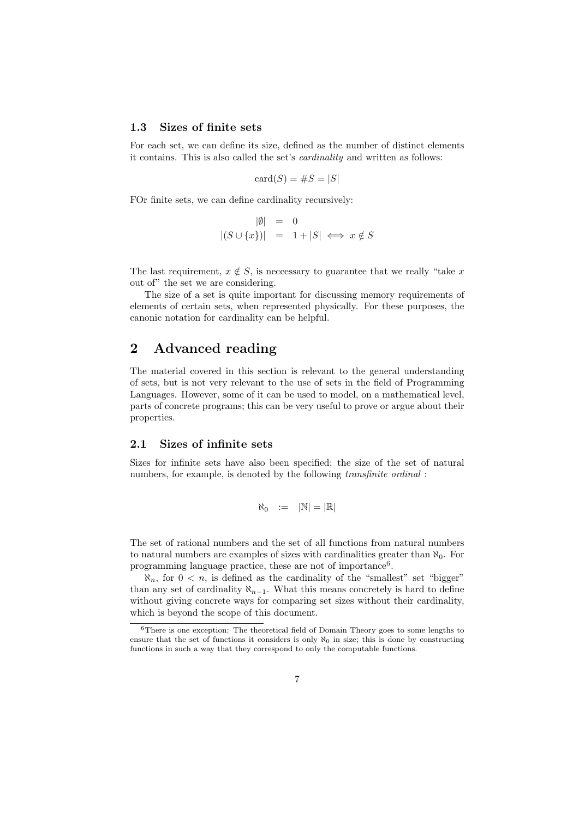# 1.3 Sizes of finite sets

For each set, we can define its size, defined as the number of distinct elements it contains. This is also called the set's cardinality and written as follows:

$$
card(S) = \#S = |S|
$$

FOr finite sets, we can define cardinality recursively:

$$
\begin{array}{rcl} |\emptyset| & = & 0 \\ |(S \cup \{x\})| & = & 1 + |S| \iff x \notin S \end{array}
$$

The last requirement,  $x \notin S$ , is necessary to guarantee that we really "take x" out of" the set we are considering.

The size of a set is quite important for discussing memory requirements of elements of certain sets, when represented physically. For these purposes, the canonic notation for cardinality can be helpful.

# 2 Advanced reading

The material covered in this section is relevant to the general understanding of sets, but is not very relevant to the use of sets in the field of Programming Languages. However, some of it can be used to model, on a mathematical level, parts of concrete programs; this can be very useful to prove or argue about their properties.

# 2.1 Sizes of infinite sets

Sizes for infinite sets have also been specified; the size of the set of natural numbers, for example, is denoted by the following *transfinite ordinal*:

$$
\aleph_0 \quad := \quad |\mathbb{N}| = |\mathbb{R}|
$$

The set of rational numbers and the set of all functions from natural numbers to natural numbers are examples of sizes with cardinalities greater than  $\aleph_0$ . For programming language practice, these are not of importance<sup>6</sup>.

 $\aleph_n$ , for  $0 < n$ , is defined as the cardinality of the "smallest" set "bigger" than any set of cardinality  $\aleph_{n-1}$ . What this means concretely is hard to define without giving concrete ways for comparing set sizes without their cardinality, which is beyond the scope of this document.

 $6$ There is one exception: The theoretical field of Domain Theory goes to some lengths to ensure that the set of functions it considers is only  $\aleph_0$  in size; this is done by constructing functions in such a way that they correspond to only the computable functions.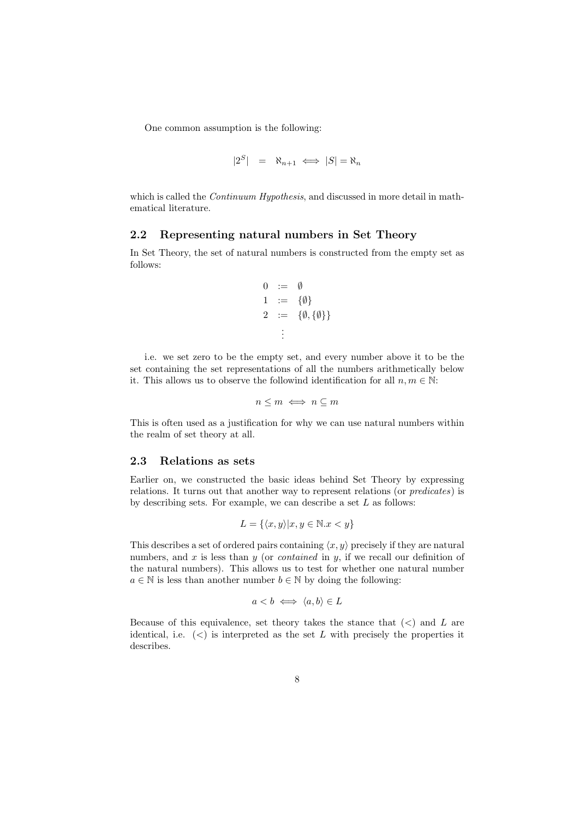One common assumption is the following:

$$
|2^S| = \aleph_{n+1} \iff |S| = \aleph_n
$$

which is called the *Continuum Hypothesis*, and discussed in more detail in mathematical literature.

### 2.2 Representing natural numbers in Set Theory

In Set Theory, the set of natural numbers is constructed from the empty set as follows:

$$
\begin{array}{rcl} 0 & := & \emptyset \\ 1 & := & \{ \emptyset \} \\ 2 & := & \{ \emptyset, \{ \emptyset \} \} \\ & & \vdots \end{array}
$$

i.e. we set zero to be the empty set, and every number above it to be the set containing the set representations of all the numbers arithmetically below it. This allows us to observe the followind identification for all  $n, m \in \mathbb{N}$ :

$$
n\leq m \iff n\subseteq m
$$

This is often used as a justification for why we can use natural numbers within the realm of set theory at all.

#### 2.3 Relations as sets

Earlier on, we constructed the basic ideas behind Set Theory by expressing relations. It turns out that another way to represent relations (or predicates) is by describing sets. For example, we can describe a set  $L$  as follows:

$$
L = \{ \langle x, y \rangle | x, y \in \mathbb{N}.x < y \}
$$

This describes a set of ordered pairs containing  $\langle x, y \rangle$  precisely if they are natural numbers, and  $x$  is less than  $y$  (or *contained* in  $y$ , if we recall our definition of the natural numbers). This allows us to test for whether one natural number  $a \in \mathbb{N}$  is less than another number  $b \in \mathbb{N}$  by doing the following:

$$
a < b \iff \langle a, b \rangle \in L
$$

Because of this equivalence, set theory takes the stance that  $(<)$  and L are identical, i.e.  $\langle \langle \rangle$  is interpreted as the set L with precisely the properties it describes.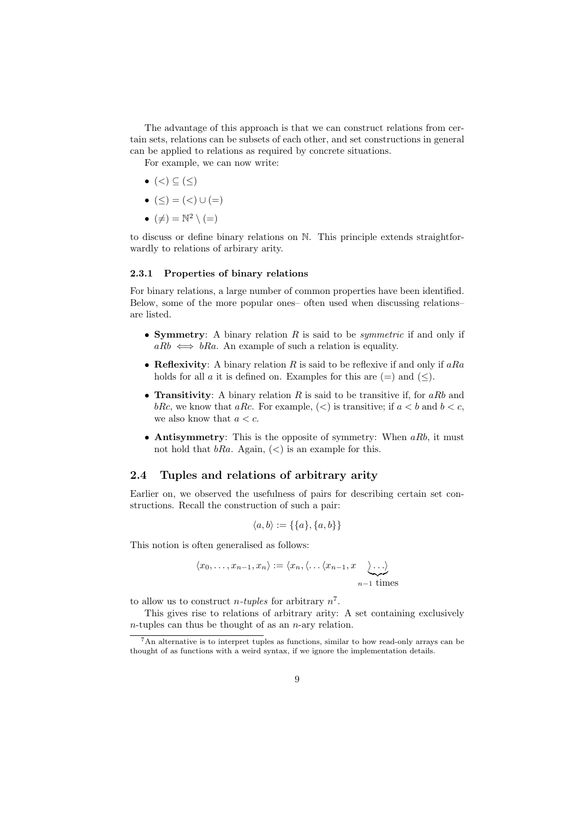The advantage of this approach is that we can construct relations from certain sets, relations can be subsets of each other, and set constructions in general can be applied to relations as required by concrete situations.

For example, we can now write:

- $\bullet$   $(<) \subseteq (\le)$
- $(<) = (<) \cup (=)$
- $(\neq) = \mathbb{N}^2 \setminus (=)$

to discuss or define binary relations on N. This principle extends straightforwardly to relations of arbirary arity.

### 2.3.1 Properties of binary relations

For binary relations, a large number of common properties have been identified. Below, some of the more popular ones– often used when discussing relations– are listed.

- Symmetry: A binary relation  $R$  is said to be *symmetric* if and only if  $aRb \iff bRa$ . An example of such a relation is equality.
- Reflexivity: A binary relation R is said to be reflexive if and only if  $aRa$ holds for all a it is defined on. Examples for this are  $(=)$  and  $(\le)$ .
- **Transitivity:** A binary relation R is said to be transitive if, for aRb and bRc, we know that aRc. For example,  $(<)$  is transitive; if  $a < b$  and  $b < c$ , we also know that  $a < c$ .
- Antisymmetry: This is the opposite of symmetry: When  $aRb$ , it must not hold that  $bRa$ . Again,  $(\le)$  is an example for this.

# 2.4 Tuples and relations of arbitrary arity

Earlier on, we observed the usefulness of pairs for describing certain set constructions. Recall the construction of such a pair:

$$
\langle a, b \rangle := \{\{a\}, \{a, b\}\}\
$$

This notion is often generalised as follows:

$$
\langle x_0, \ldots, x_{n-1}, x_n \rangle := \langle x_n, \langle \ldots \langle x_{n-1}, x \rangle \ldots \rangle
$$
  
<sub>n-1</sub> times

to allow us to construct *n*-tuples for arbitrary  $n^7$ .

This gives rise to relations of arbitrary arity: A set containing exclusively  $n$ -tuples can thus be thought of as an  $n$ -ary relation.

<sup>7</sup>An alternative is to interpret tuples as functions, similar to how read-only arrays can be thought of as functions with a weird syntax, if we ignore the implementation details.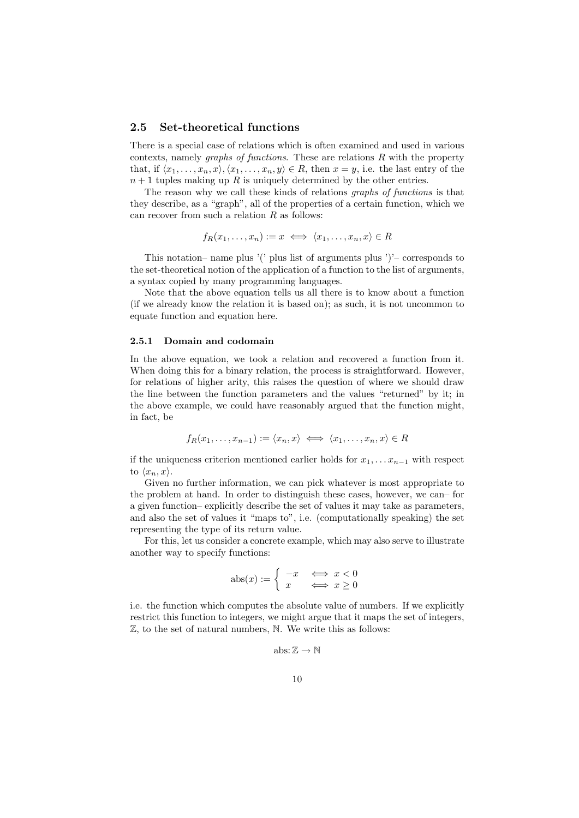### 2.5 Set-theoretical functions

There is a special case of relations which is often examined and used in various contexts, namely *graphs of functions*. These are relations  $R$  with the property that, if  $\langle x_1, \ldots, x_n, x \rangle, \langle x_1, \ldots, x_n, y \rangle \in R$ , then  $x = y$ , i.e. the last entry of the  $n + 1$  tuples making up R is uniquely determined by the other entries.

The reason why we call these kinds of relations *graphs of functions* is that they describe, as a "graph", all of the properties of a certain function, which we can recover from such a relation  $R$  as follows:

$$
f_R(x_1,\ldots,x_n):=x \iff \langle x_1,\ldots,x_n,x\rangle \in R
$$

This notation– name plus '(' plus list of arguments plus ')'– corresponds to the set-theoretical notion of the application of a function to the list of arguments, a syntax copied by many programming languages.

Note that the above equation tells us all there is to know about a function (if we already know the relation it is based on); as such, it is not uncommon to equate function and equation here.

#### 2.5.1 Domain and codomain

In the above equation, we took a relation and recovered a function from it. When doing this for a binary relation, the process is straightforward. However, for relations of higher arity, this raises the question of where we should draw the line between the function parameters and the values "returned" by it; in the above example, we could have reasonably argued that the function might, in fact, be

$$
f_R(x_1,\ldots,x_{n-1}) := \langle x_n, x \rangle \iff \langle x_1,\ldots,x_n, x \rangle \in R
$$

if the uniqueness criterion mentioned earlier holds for  $x_1, \ldots x_{n-1}$  with respect to  $\langle x_n, x \rangle$ .

Given no further information, we can pick whatever is most appropriate to the problem at hand. In order to distinguish these cases, however, we can– for a given function– explicitly describe the set of values it may take as parameters, and also the set of values it "maps to", i.e. (computationally speaking) the set representing the type of its return value.

For this, let us consider a concrete example, which may also serve to illustrate another way to specify functions:

$$
abs(x) := \begin{cases} -x & \iff x < 0\\ x & \iff x \ge 0 \end{cases}
$$

i.e. the function which computes the absolute value of numbers. If we explicitly restrict this function to integers, we might argue that it maps the set of integers, Z, to the set of natural numbers, N. We write this as follows:

$$
\mathrm{abs}\colon\mathbb{Z}\to\mathbb{N}
$$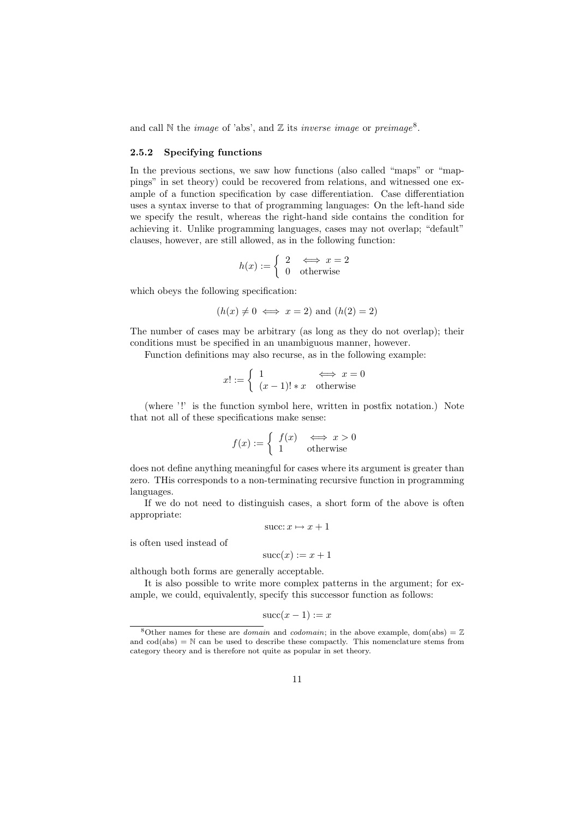and call  $\mathbb N$  the *image* of 'abs', and  $\mathbb Z$  its *inverse image* or *preimage*<sup>8</sup>.

#### 2.5.2 Specifying functions

In the previous sections, we saw how functions (also called "maps" or "mappings" in set theory) could be recovered from relations, and witnessed one example of a function specification by case differentiation. Case differentiation uses a syntax inverse to that of programming languages: On the left-hand side we specify the result, whereas the right-hand side contains the condition for achieving it. Unlike programming languages, cases may not overlap; "default" clauses, however, are still allowed, as in the following function:

$$
h(x) := \begin{cases} 2 & \Longleftrightarrow x = 2 \\ 0 & \text{otherwise} \end{cases}
$$

which obeys the following specification:

$$
(h(x) \neq 0 \iff x = 2)
$$
 and  $(h(2) = 2)$ 

The number of cases may be arbitrary (as long as they do not overlap); their conditions must be specified in an unambiguous manner, however.

Function definitions may also recurse, as in the following example:

$$
x! := \begin{cases} 1 & \Longleftrightarrow x = 0\\ (x-1)! * x & \text{otherwise} \end{cases}
$$

(where '!' is the function symbol here, written in postfix notation.) Note that not all of these specifications make sense:

$$
f(x) := \begin{cases} f(x) & \iff x > 0\\ 1 & \text{otherwise} \end{cases}
$$

does not define anything meaningful for cases where its argument is greater than zero. THis corresponds to a non-terminating recursive function in programming languages.

If we do not need to distinguish cases, a short form of the above is often appropriate:

$$
succ: x \mapsto x + 1
$$

is often used instead of

$$
\operatorname{succ}(x) := x + 1
$$

although both forms are generally acceptable.

It is also possible to write more complex patterns in the argument; for example, we could, equivalently, specify this successor function as follows:

$$
succ(x-1) := x
$$

<sup>&</sup>lt;sup>8</sup>Other names for these are *domain* and *codomain*; in the above example, dom(abs) =  $\mathbb{Z}$ and  $\text{cod}(\text{abs}) = \mathbb{N}$  can be used to describe these compactly. This nomenclature stems from category theory and is therefore not quite as popular in set theory.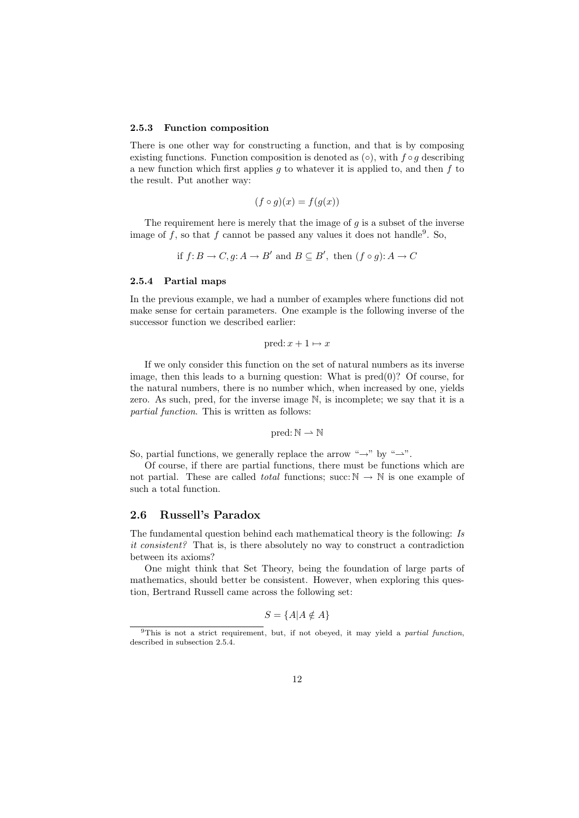#### 2.5.3 Function composition

There is one other way for constructing a function, and that is by composing existing functions. Function composition is denoted as  $(○)$ , with  $f ∘ g$  describing a new function which first applies q to whatever it is applied to, and then  $f$  to the result. Put another way:

$$
(f \circ g)(x) = f(g(x))
$$

The requirement here is merely that the image of  $g$  is a subset of the inverse image of f, so that f cannot be passed any values it does not handle<sup>9</sup>. So,

if 
$$
f: B \to C
$$
,  $g: A \to B'$  and  $B \subseteq B'$ , then  $(f \circ g): A \to C$ 

#### 2.5.4 Partial maps

In the previous example, we had a number of examples where functions did not make sense for certain parameters. One example is the following inverse of the successor function we described earlier:

pred:  $x + 1 \mapsto x$ 

If we only consider this function on the set of natural numbers as its inverse image, then this leads to a burning question: What is pred(0)? Of course, for the natural numbers, there is no number which, when increased by one, yields zero. As such, pred, for the inverse image N, is incomplete; we say that it is a partial function. This is written as follows:

$$
\mathsf{pred}\!:\!{\mathbb N}\rightharpoonup{\mathbb N}
$$

So, partial functions, we generally replace the arrow " $\rightarrow$ " by " $\rightarrow$ ".

Of course, if there are partial functions, there must be functions which are not partial. These are called *total* functions; succ:  $\mathbb{N} \to \mathbb{N}$  is one example of such a total function.

## 2.6 Russell's Paradox

The fundamental question behind each mathematical theory is the following: Is it consistent? That is, is there absolutely no way to construct a contradiction between its axioms?

One might think that Set Theory, being the foundation of large parts of mathematics, should better be consistent. However, when exploring this question, Bertrand Russell came across the following set:

$$
S = \{A | A \notin A\}
$$

 $9$ This is not a strict requirement, but, if not obeyed, it may yield a partial function, described in subsection 2.5.4.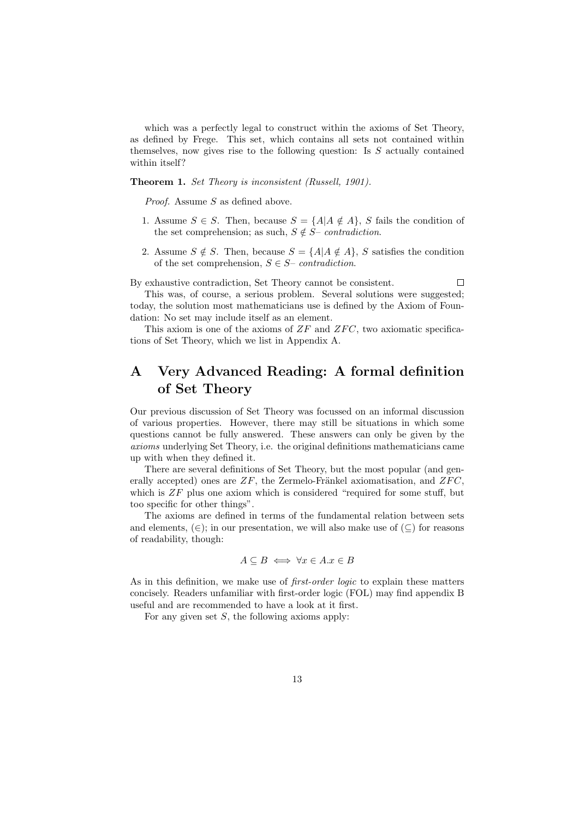which was a perfectly legal to construct within the axioms of Set Theory, as defined by Frege. This set, which contains all sets not contained within themselves, now gives rise to the following question: Is  $S$  actually contained within itself?

Theorem 1. Set Theory is inconsistent (Russell, 1901).

Proof. Assume S as defined above.

- 1. Assume  $S \in S$ . Then, because  $S = \{A | A \notin A\}$ , S fails the condition of the set comprehension; as such,  $S \notin S$ – *contradiction*.
- 2. Assume  $S \notin S$ . Then, because  $S = \{A | A \notin A\}$ , S satisfies the condition of the set comprehension,  $S \in S$ – *contradiction*.

By exhaustive contradiction, Set Theory cannot be consistent.  $\Box$ 

This was, of course, a serious problem. Several solutions were suggested; today, the solution most mathematicians use is defined by the Axiom of Foundation: No set may include itself as an element.

This axiom is one of the axioms of  $ZF$  and  $ZFC$ , two axiomatic specifications of Set Theory, which we list in Appendix A.

# A Very Advanced Reading: A formal definition of Set Theory

Our previous discussion of Set Theory was focussed on an informal discussion of various properties. However, there may still be situations in which some questions cannot be fully answered. These answers can only be given by the axioms underlying Set Theory, i.e. the original definitions mathematicians came up with when they defined it.

There are several definitions of Set Theory, but the most popular (and generally accepted) ones are  $ZF$ , the Zermelo-Fränkel axiomatisation, and  $ZFC$ . which is  $ZF$  plus one axiom which is considered "required for some stuff, but too specific for other things".

The axioms are defined in terms of the fundamental relation between sets and elements,  $(\in)$ ; in our presentation, we will also make use of  $(\subseteq)$  for reasons of readability, though:

$$
A \subseteq B \iff \forall x \in A \ldotp x \in B
$$

As in this definition, we make use of *first-order logic* to explain these matters concisely. Readers unfamiliar with first-order logic (FOL) may find appendix B useful and are recommended to have a look at it first.

For any given set  $S$ , the following axioms apply: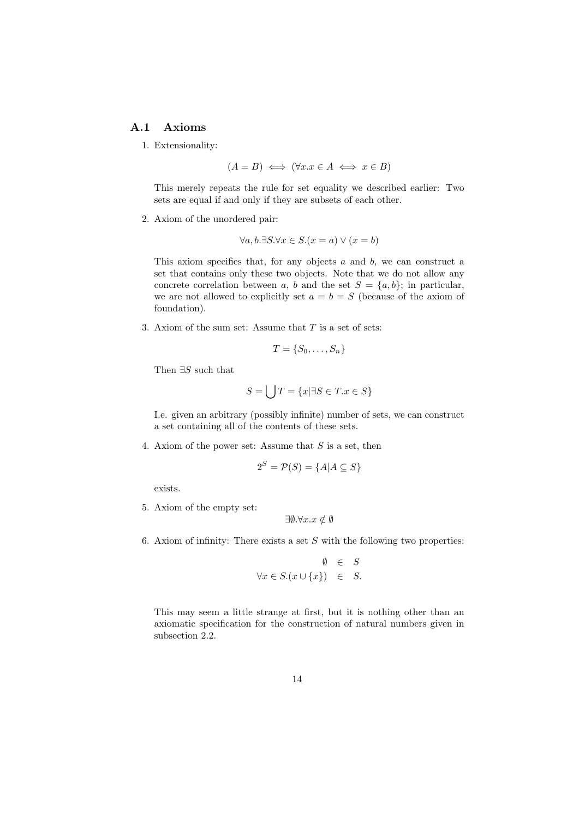# A.1 Axioms

1. Extensionality:

$$
(A = B) \iff (\forall x. x \in A \iff x \in B)
$$

This merely repeats the rule for set equality we described earlier: Two sets are equal if and only if they are subsets of each other.

2. Axiom of the unordered pair:

$$
\forall a, b. \exists S. \forall x \in S. (x = a) \lor (x = b)
$$

This axiom specifies that, for any objects  $a$  and  $b$ , we can construct a set that contains only these two objects. Note that we do not allow any concrete correlation between a, b and the set  $S = \{a, b\}$ ; in particular, we are not allowed to explicitly set  $a = b = S$  (because of the axiom of foundation).

3. Axiom of the sum set: Assume that  $T$  is a set of sets:

$$
T = \{S_0, \ldots, S_n\}
$$

Then  $\exists S$  such that

$$
S = \bigcup T = \{x | \exists S \in T \ldots x \in S\}
$$

I.e. given an arbitrary (possibly infinite) number of sets, we can construct a set containing all of the contents of these sets.

4. Axiom of the power set: Assume that  $S$  is a set, then

$$
2^S = \mathcal{P}(S) = \{A | A \subseteq S\}
$$

exists.

5. Axiom of the empty set:

$$
\exists \emptyset. \forall x. x \notin \emptyset
$$

6. Axiom of infinity: There exists a set  $S$  with the following two properties:

$$
\emptyset \in S
$$
  

$$
\forall x \in S. (x \cup \{x\}) \in S.
$$

This may seem a little strange at first, but it is nothing other than an axiomatic specification for the construction of natural numbers given in subsection 2.2.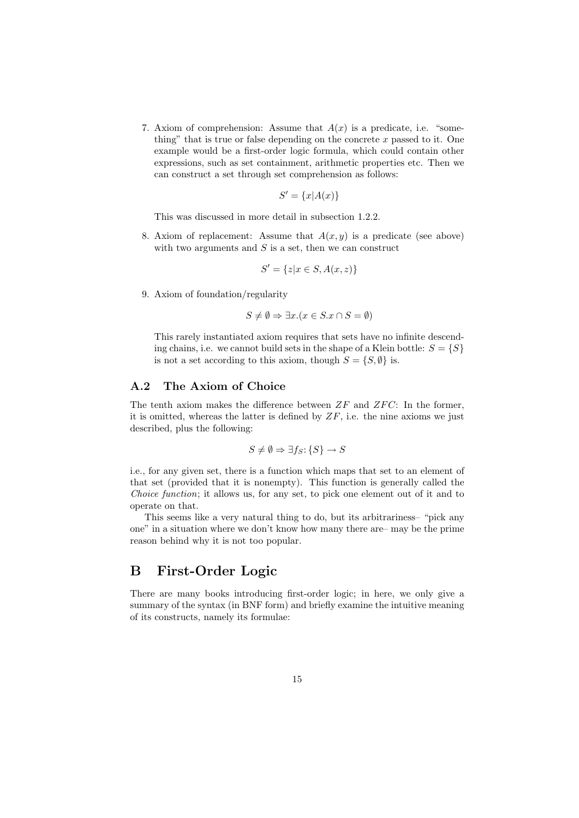7. Axiom of comprehension: Assume that  $A(x)$  is a predicate, i.e. "something" that is true or false depending on the concrete  $x$  passed to it. One example would be a first-order logic formula, which could contain other expressions, such as set containment, arithmetic properties etc. Then we can construct a set through set comprehension as follows:

$$
S' = \{x | A(x)\}
$$

This was discussed in more detail in subsection 1.2.2.

8. Axiom of replacement: Assume that  $A(x, y)$  is a predicate (see above) with two arguments and  $S$  is a set, then we can construct

$$
S' = \{z | x \in S, A(x, z)\}
$$

9. Axiom of foundation/regularity

$$
S \neq \emptyset \Rightarrow \exists x. (x \in S. x \cap S = \emptyset)
$$

This rarely instantiated axiom requires that sets have no infinite descending chains, i.e. we cannot build sets in the shape of a Klein bottle:  $S = \{S\}$ is not a set according to this axiom, though  $S = \{S, \emptyset\}$  is.

### A.2 The Axiom of Choice

The tenth axiom makes the difference between  $ZF$  and  $ZFC$ : In the former, it is omitted, whereas the latter is defined by  $ZF$ , i.e. the nine axioms we just described, plus the following:

$$
S \neq \emptyset \Rightarrow \exists f_S \colon \{S\} \to S
$$

i.e., for any given set, there is a function which maps that set to an element of that set (provided that it is nonempty). This function is generally called the Choice function; it allows us, for any set, to pick one element out of it and to operate on that.

This seems like a very natural thing to do, but its arbitrariness– "pick any one" in a situation where we don't know how many there are– may be the prime reason behind why it is not too popular.

# B First-Order Logic

There are many books introducing first-order logic; in here, we only give a summary of the syntax (in BNF form) and briefly examine the intuitive meaning of its constructs, namely its formulae: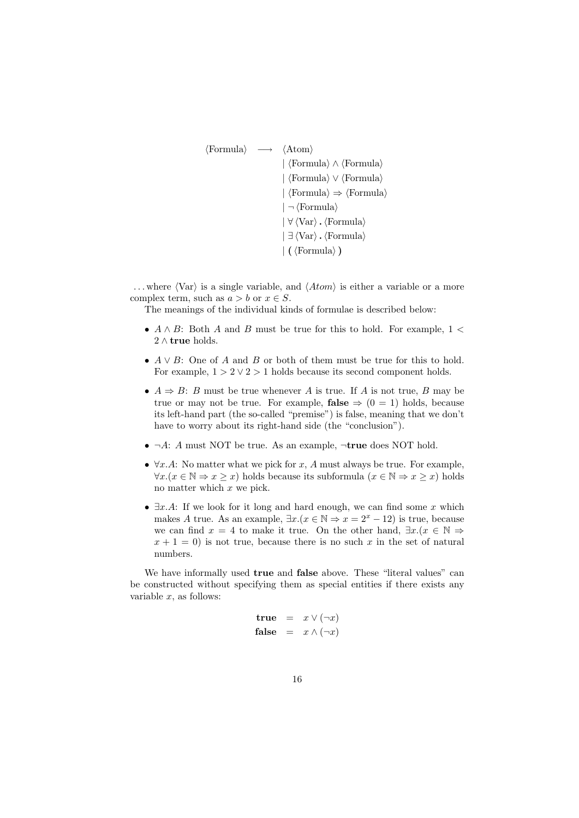```
\langleFormula\rangle \rightarrow \langleAtom\rangle\langle Formula\rangle \wedge \langleFormula\rangle| \langle Formula<sup>{</sup> ∨ \langle Formula}
                                |\langle \text{Formula} \rangle \Rightarrow \langle \text{Formula} \rangle| \neg (Formula)
                                |\forall \langle \text{Var} \rangle \cdot \langle \text{Formula} \rangle|\exists \langle \text{Var} \rangle. \langle \text{Formula} \rangle\vert ( \langle Formula\rangle )
```
... where  $\langle \text{Var} \rangle$  is a single variable, and  $\langle Atom \rangle$  is either a variable or a more complex term, such as  $a > b$  or  $x \in S$ .

The meanings of the individual kinds of formulae is described below:

- $A \wedge B$ : Both A and B must be true for this to hold. For example,  $1 \lt \theta$ 2 ∧ true holds.
- $A \vee B$ : One of A and B or both of them must be true for this to hold. For example,  $1 > 2 \vee 2 > 1$  holds because its second component holds.
- $A \Rightarrow B$ : B must be true whenever A is true. If A is not true, B may be true or may not be true. For example, **false**  $\Rightarrow$  (0 = 1) holds, because its left-hand part (the so-called "premise") is false, meaning that we don't have to worry about its right-hand side (the "conclusion").
- $\neg A: A$  must NOT be true. As an example,  $\neg$ true does NOT hold.
- $\forall x.A:$  No matter what we pick for x, A must always be true. For example,  $\forall x.(x \in \mathbb{N} \Rightarrow x \geq x)$  holds because its subformula  $(x \in \mathbb{N} \Rightarrow x \geq x)$  holds no matter which x we pick.
- $\exists x.A$ : If we look for it long and hard enough, we can find some x which makes A true. As an example,  $\exists x.(x \in \mathbb{N} \Rightarrow x = 2^x - 12)$  is true, because we can find  $x = 4$  to make it true. On the other hand,  $\exists x.(x \in \mathbb{N} \Rightarrow$  $x + 1 = 0$ ) is not true, because there is no such x in the set of natural numbers.

We have informally used true and false above. These "literal values" can be constructed without specifying them as special entities if there exists any variable  $x$ , as follows:

> true =  $x \vee (\neg x)$ false =  $x \wedge (\neg x)$